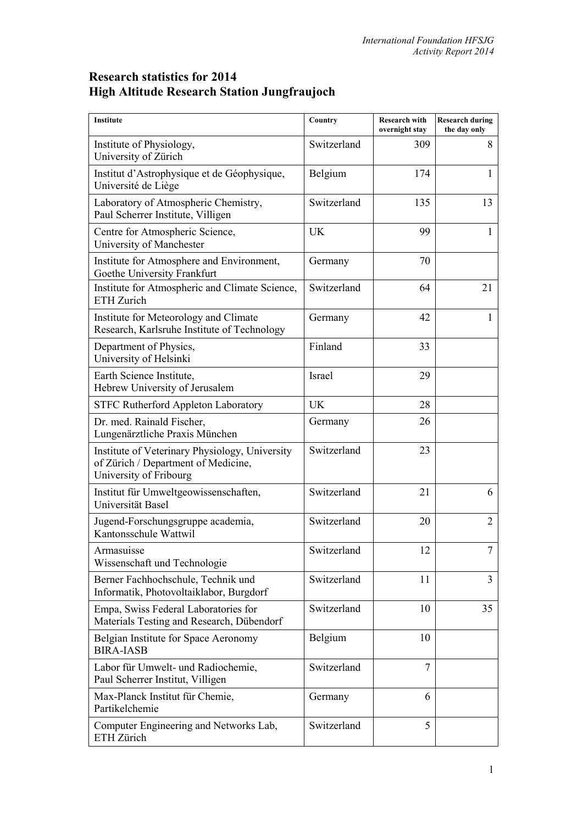## **Research statistics for 2014 High Altitude Research Station Jungfraujoch**

| <b>Institute</b>                                                                                                | Country     | <b>Research with</b><br>overnight stay | <b>Research during</b><br>the day only |
|-----------------------------------------------------------------------------------------------------------------|-------------|----------------------------------------|----------------------------------------|
| Institute of Physiology,<br>University of Zürich                                                                | Switzerland | 309                                    | 8                                      |
| Institut d'Astrophysique et de Géophysique,<br>Université de Liège                                              | Belgium     | 174                                    | 1                                      |
| Laboratory of Atmospheric Chemistry,<br>Paul Scherrer Institute, Villigen                                       | Switzerland | 135                                    | 13                                     |
| Centre for Atmospheric Science,<br>University of Manchester                                                     | <b>UK</b>   | 99                                     | $\mathbf{1}$                           |
| Institute for Atmosphere and Environment,<br>Goethe University Frankfurt                                        | Germany     | 70                                     |                                        |
| Institute for Atmospheric and Climate Science,<br>ETH Zurich                                                    | Switzerland | 64                                     | 21                                     |
| Institute for Meteorology and Climate<br>Research, Karlsruhe Institute of Technology                            | Germany     | 42                                     |                                        |
| Department of Physics,<br>University of Helsinki                                                                | Finland     | 33                                     |                                        |
| Earth Science Institute,<br>Hebrew University of Jerusalem                                                      | Israel      | 29                                     |                                        |
| <b>STFC Rutherford Appleton Laboratory</b>                                                                      | UK          | 28                                     |                                        |
| Dr. med. Rainald Fischer,<br>Lungenärztliche Praxis München                                                     | Germany     | 26                                     |                                        |
| Institute of Veterinary Physiology, University<br>of Zürich / Department of Medicine,<br>University of Fribourg | Switzerland | 23                                     |                                        |
| Institut für Umweltgeowissenschaften,<br>Universität Basel                                                      | Switzerland | 21                                     | 6                                      |
| Jugend-Forschungsgruppe academia,<br>Kantonsschule Wattwil                                                      | Switzerland | 20                                     | $\overline{2}$                         |
| Armasuisse<br>Wissenschaft und Technologie                                                                      | Switzerland | 12                                     |                                        |
| Berner Fachhochschule, Technik und<br>Informatik, Photovoltaiklabor, Burgdorf                                   | Switzerland | 11                                     | $\overline{3}$                         |
| Empa, Swiss Federal Laboratories for<br>Materials Testing and Research, Dübendorf                               | Switzerland | 10                                     | 35                                     |
| Belgian Institute for Space Aeronomy<br><b>BIRA-IASB</b>                                                        | Belgium     | 10                                     |                                        |
| Labor für Umwelt- und Radiochemie,<br>Paul Scherrer Institut, Villigen                                          | Switzerland | 7                                      |                                        |
| Max-Planck Institut für Chemie,<br>Partikelchemie                                                               | Germany     | 6                                      |                                        |
| Computer Engineering and Networks Lab,<br>ETH Zürich                                                            | Switzerland | 5                                      |                                        |